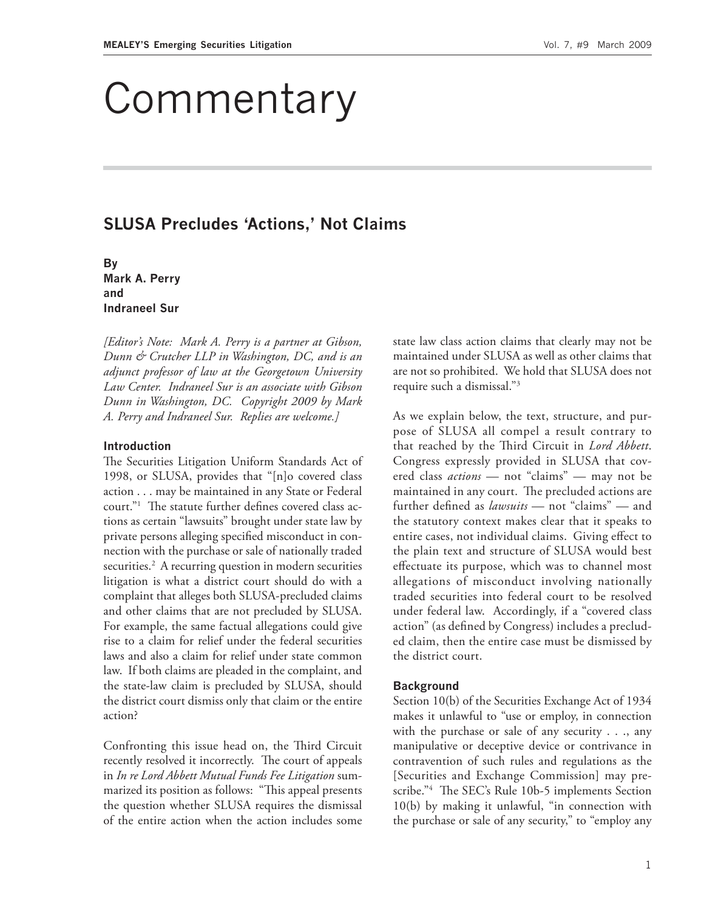# **Commentary**

# **SLUSA Precludes 'Actions,' Not Claims**

**By Mark A. Perry and Indraneel Sur**

*[Editor's Note: Mark A. Perry is a partner at Gibson, Dunn & Crutcher LLP in Washington, DC, and is an adjunct professor of law at the Georgetown University Law Center. Indraneel Sur is an associate with Gibson Dunn in Washington, DC. Copyright 2009 by Mark A. Perry and Indraneel Sur. Replies are welcome.]*

#### **Introduction**

The Securities Litigation Uniform Standards Act of 1998, or SLUSA, provides that "[n]o covered class action . . . may be maintained in any State or Federal court."<sup>1</sup> The statute further defines covered class actions as certain "lawsuits" brought under state law by private persons alleging specified misconduct in connection with the purchase or sale of nationally traded securities.<sup>2</sup> A recurring question in modern securities litigation is what a district court should do with a complaint that alleges both SLUSA-precluded claims and other claims that are not precluded by SLUSA. For example, the same factual allegations could give rise to a claim for relief under the federal securities laws and also a claim for relief under state common law. If both claims are pleaded in the complaint, and the state-law claim is precluded by SLUSA, should the district court dismiss only that claim or the entire action?

Confronting this issue head on, the Third Circuit recently resolved it incorrectly. The court of appeals in *In re Lord Abbett Mutual Funds Fee Litigation* summarized its position as follows: "This appeal presents the question whether SLUSA requires the dismissal of the entire action when the action includes some

state law class action claims that clearly may not be maintained under SLUSA as well as other claims that are not so prohibited. We hold that SLUSA does not require such a dismissal."3

As we explain below, the text, structure, and purpose of SLUSA all compel a result contrary to that reached by the Th ird Circuit in *Lord Abbett*. Congress expressly provided in SLUSA that covered class *actions* — not "claims" — may not be maintained in any court. The precluded actions are further defined as *lawsuits* — not "claims" — and the statutory context makes clear that it speaks to entire cases, not individual claims. Giving effect to the plain text and structure of SLUSA would best effectuate its purpose, which was to channel most allegations of misconduct involving nationally traded securities into federal court to be resolved under federal law. Accordingly, if a "covered class action" (as defined by Congress) includes a precluded claim, then the entire case must be dismissed by the district court.

#### **Background**

Section 10(b) of the Securities Exchange Act of 1934 makes it unlawful to "use or employ, in connection with the purchase or sale of any security . . ., any manipulative or deceptive device or contrivance in contravention of such rules and regulations as the [Securities and Exchange Commission] may prescribe."<sup>4</sup> The SEC's Rule 10b-5 implements Section 10(b) by making it unlawful, "in connection with the purchase or sale of any security," to "employ any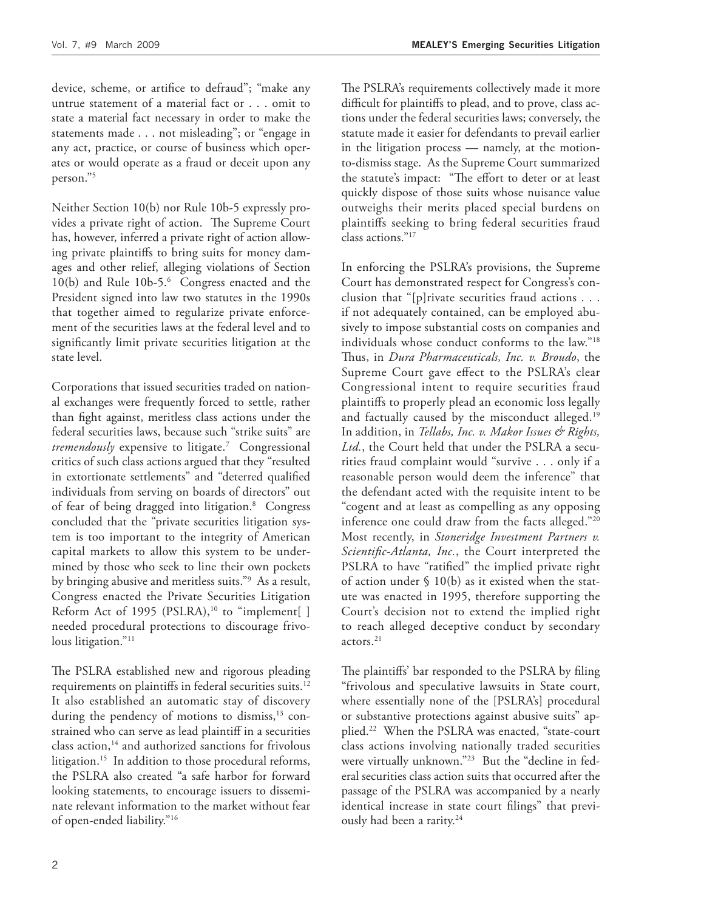device, scheme, or artifice to defraud"; "make any untrue statement of a material fact or . . . omit to state a material fact necessary in order to make the statements made . . . not misleading"; or "engage in any act, practice, or course of business which operates or would operate as a fraud or deceit upon any person."5

Neither Section 10(b) nor Rule 10b-5 expressly provides a private right of action. The Supreme Court has, however, inferred a private right of action allowing private plaintiffs to bring suits for money damages and other relief, alleging violations of Section 10(b) and Rule 10b-5.<sup>6</sup> Congress enacted and the President signed into law two statutes in the 1990s that together aimed to regularize private enforcement of the securities laws at the federal level and to significantly limit private securities litigation at the state level.

Corporations that issued securities traded on national exchanges were frequently forced to settle, rather than fight against, meritless class actions under the federal securities laws, because such "strike suits" are *tremendously* expensive to litigate.7 Congressional critics of such class actions argued that they "resulted in extortionate settlements" and "deterred qualified individuals from serving on boards of directors" out of fear of being dragged into litigation.<sup>8</sup> Congress concluded that the "private securities litigation system is too important to the integrity of American capital markets to allow this system to be undermined by those who seek to line their own pockets by bringing abusive and meritless suits."9 As a result, Congress enacted the Private Securities Litigation Reform Act of 1995 (PSLRA),<sup>10</sup> to "implement[ ] needed procedural protections to discourage frivolous litigation."<sup>11</sup>

The PSLRA established new and rigorous pleading requirements on plaintiffs in federal securities suits.<sup>12</sup> It also established an automatic stay of discovery during the pendency of motions to dismiss, $13$  constrained who can serve as lead plaintiff in a securities class action,<sup>14</sup> and authorized sanctions for frivolous litigation.<sup>15</sup> In addition to those procedural reforms, the PSLRA also created "a safe harbor for forward looking statements, to encourage issuers to disseminate relevant information to the market without fear of open-ended liability."16

The PSLRA's requirements collectively made it more difficult for plaintiffs to plead, and to prove, class actions under the federal securities laws; conversely, the statute made it easier for defendants to prevail earlier in the litigation process — namely, at the motionto-dismiss stage. As the Supreme Court summarized the statute's impact: "The effort to deter or at least quickly dispose of those suits whose nuisance value outweighs their merits placed special burdens on plaintiffs seeking to bring federal securities fraud class actions."17

In enforcing the PSLRA's provisions, the Supreme Court has demonstrated respect for Congress's conclusion that "[p]rivate securities fraud actions . . . if not adequately contained, can be employed abusively to impose substantial costs on companies and individuals whose conduct conforms to the law."18 Th us, in *Dura Pharmaceuticals, Inc. v. Broudo*, the Supreme Court gave effect to the PSLRA's clear Congressional intent to require securities fraud plaintiffs to properly plead an economic loss legally and factually caused by the misconduct alleged.<sup>19</sup> In addition, in *Tellabs, Inc. v. Makor Issues & Rights, Ltd.*, the Court held that under the PSLRA a securities fraud complaint would "survive . . . only if a reasonable person would deem the inference" that the defendant acted with the requisite intent to be "cogent and at least as compelling as any opposing inference one could draw from the facts alleged."20 Most recently, in *Stoneridge Investment Partners v.*  Scientific-Atlanta, Inc., the Court interpreted the PSLRA to have "ratified" the implied private right of action under  $\S$  10(b) as it existed when the statute was enacted in 1995, therefore supporting the Court's decision not to extend the implied right to reach alleged deceptive conduct by secondary actors.21

The plaintiffs' bar responded to the PSLRA by filing "frivolous and speculative lawsuits in State court, where essentially none of the [PSLRA's] procedural or substantive protections against abusive suits" applied.<sup>22</sup> When the PSLRA was enacted, "state-court class actions involving nationally traded securities were virtually unknown."23 But the "decline in federal securities class action suits that occurred after the passage of the PSLRA was accompanied by a nearly identical increase in state court filings" that previously had been a rarity.<sup>24</sup>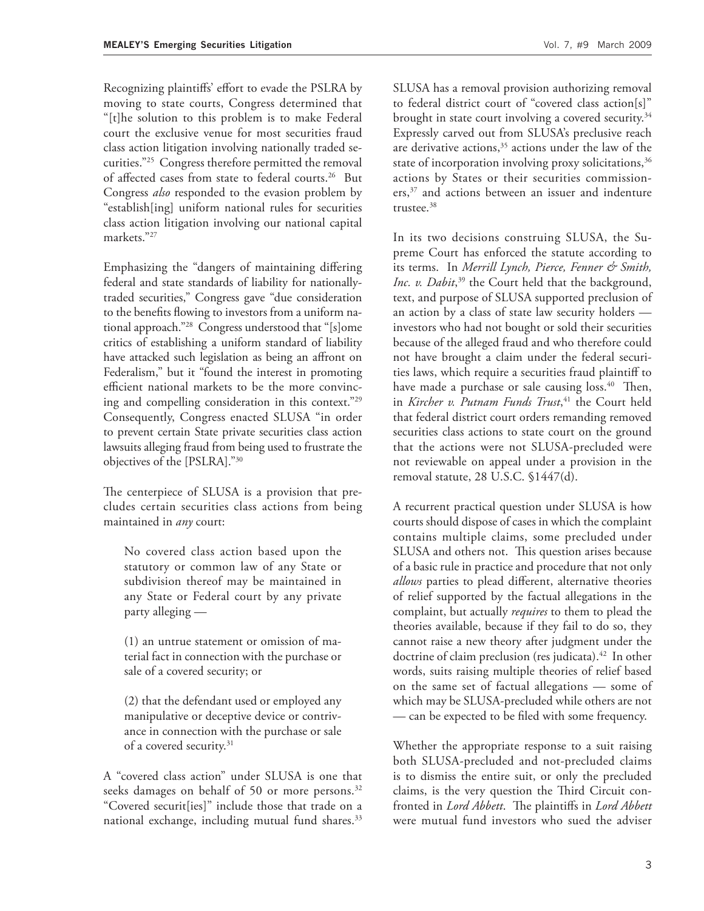Recognizing plaintiffs' effort to evade the PSLRA by moving to state courts, Congress determined that "[t]he solution to this problem is to make Federal court the exclusive venue for most securities fraud class action litigation involving nationally traded securities."25 Congress therefore permitted the removal of affected cases from state to federal courts.<sup>26</sup> But Congress *also* responded to the evasion problem by "establish[ing] uniform national rules for securities class action litigation involving our national capital markets."27

Emphasizing the "dangers of maintaining differing federal and state standards of liability for nationallytraded securities," Congress gave "due consideration to the benefits flowing to investors from a uniform national approach."28 Congress understood that "[s]ome critics of establishing a uniform standard of liability have attacked such legislation as being an affront on Federalism," but it "found the interest in promoting efficient national markets to be the more convincing and compelling consideration in this context."29 Consequently, Congress enacted SLUSA "in order to prevent certain State private securities class action lawsuits alleging fraud from being used to frustrate the objectives of the [PSLRA]."30

The centerpiece of SLUSA is a provision that precludes certain securities class actions from being maintained in *any* court:

No covered class action based upon the statutory or common law of any State or subdivision thereof may be maintained in any State or Federal court by any private party alleging —

(1) an untrue statement or omission of material fact in connection with the purchase or sale of a covered security; or

(2) that the defendant used or employed any manipulative or deceptive device or contrivance in connection with the purchase or sale of a covered security.<sup>31</sup>

A "covered class action" under SLUSA is one that seeks damages on behalf of 50 or more persons.<sup>32</sup> "Covered securit[ies]" include those that trade on a national exchange, including mutual fund shares.<sup>33</sup> SLUSA has a removal provision authorizing removal to federal district court of "covered class action[s]" brought in state court involving a covered security.<sup>34</sup> Expressly carved out from SLUSA's preclusive reach are derivative actions,  $35$  actions under the law of the state of incorporation involving proxy solicitations,  $36$ actions by States or their securities commissioners,<sup>37</sup> and actions between an issuer and indenture trustee.38

In its two decisions construing SLUSA, the Supreme Court has enforced the statute according to its terms. In *Merrill Lynch, Pierce, Fenner & Smith,*  Inc. v. Dabit,<sup>39</sup> the Court held that the background, text, and purpose of SLUSA supported preclusion of an action by a class of state law security holders investors who had not bought or sold their securities because of the alleged fraud and who therefore could not have brought a claim under the federal securities laws, which require a securities fraud plaintiff to have made a purchase or sale causing loss.<sup>40</sup> Then, in *Kircher v. Putnam Funds Trust*, 41 the Court held that federal district court orders remanding removed securities class actions to state court on the ground that the actions were not SLUSA-precluded were not reviewable on appeal under a provision in the removal statute, 28 U.S.C. §1447(d).

A recurrent practical question under SLUSA is how courts should dispose of cases in which the complaint contains multiple claims, some precluded under SLUSA and others not. This question arises because of a basic rule in practice and procedure that not only *allows* parties to plead different, alternative theories of relief supported by the factual allegations in the complaint, but actually *requires* to them to plead the theories available, because if they fail to do so, they cannot raise a new theory after judgment under the doctrine of claim preclusion (res judicata).<sup>42</sup> In other words, suits raising multiple theories of relief based on the same set of factual allegations — some of which may be SLUSA-precluded while others are not — can be expected to be filed with some frequency.

Whether the appropriate response to a suit raising both SLUSA-precluded and not-precluded claims is to dismiss the entire suit, or only the precluded claims, is the very question the Third Circuit confronted in *Lord Abbett*. The plaintiffs in *Lord Abbett* were mutual fund investors who sued the adviser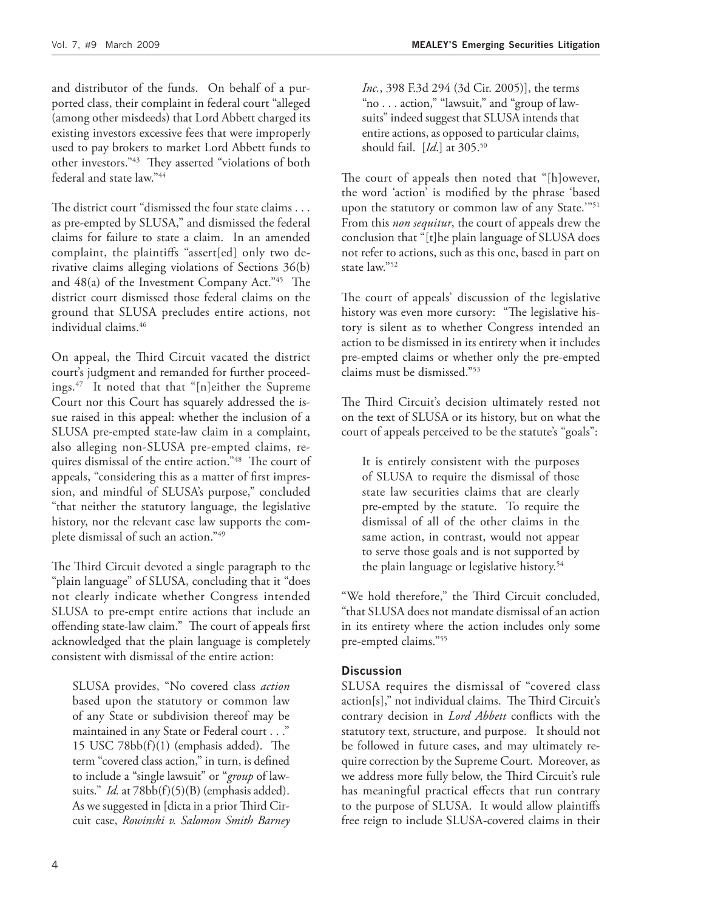and distributor of the funds. On behalf of a purported class, their complaint in federal court "alleged (among other misdeeds) that Lord Abbett charged its existing investors excessive fees that were improperly used to pay brokers to market Lord Abbett funds to other investors."<sup>43</sup> They asserted "violations of both federal and state law."44

The district court "dismissed the four state claims . . . as pre-empted by SLUSA," and dismissed the federal claims for failure to state a claim. In an amended complaint, the plaintiffs "assert[ed] only two derivative claims alleging violations of Sections 36(b) and  $48(a)$  of the Investment Company Act."<sup>45</sup> The district court dismissed those federal claims on the ground that SLUSA precludes entire actions, not individual claims.<sup>46</sup>

On appeal, the Third Circuit vacated the district court's judgment and remanded for further proceedings.47 It noted that that "[n]either the Supreme Court nor this Court has squarely addressed the issue raised in this appeal: whether the inclusion of a SLUSA pre-empted state-law claim in a complaint, also alleging non-SLUSA pre-empted claims, requires dismissal of the entire action."<sup>48</sup> The court of appeals, "considering this as a matter of first impression, and mindful of SLUSA's purpose," concluded "that neither the statutory language, the legislative history, nor the relevant case law supports the complete dismissal of such an action."49

The Third Circuit devoted a single paragraph to the "plain language" of SLUSA, concluding that it "does not clearly indicate whether Congress intended SLUSA to pre-empt entire actions that include an offending state-law claim." The court of appeals first acknowledged that the plain language is completely consistent with dismissal of the entire action:

SLUSA provides, "No covered class *action* based upon the statutory or common law of any State or subdivision thereof may be maintained in any State or Federal court . . ." 15 USC  $78bb(f)(1)$  (emphasis added). The term "covered class action," in turn, is defined to include a "single lawsuit" or "*group* of lawsuits." *Id.* at 78bb(f)(5)(B) (emphasis added). As we suggested in [dicta in a prior Third Circuit case, *Rowinski v. Salomon Smith Barney*  *Inc.*, 398 F.3d 294 (3d Cir. 2005)], the terms "no . . . action," "lawsuit," and "group of lawsuits" indeed suggest that SLUSA intends that entire actions, as opposed to particular claims, should fail. [*Id*.] at 305.50

The court of appeals then noted that "[h]owever, the word 'action' is modified by the phrase 'based upon the statutory or common law of any State."<sup>51</sup> From this *non sequitur*, the court of appeals drew the conclusion that "[t]he plain language of SLUSA does not refer to actions, such as this one, based in part on state law."52

The court of appeals' discussion of the legislative history was even more cursory: "The legislative history is silent as to whether Congress intended an action to be dismissed in its entirety when it includes pre-empted claims or whether only the pre-empted claims must be dismissed."53

The Third Circuit's decision ultimately rested not on the text of SLUSA or its history, but on what the court of appeals perceived to be the statute's "goals":

It is entirely consistent with the purposes of SLUSA to require the dismissal of those state law securities claims that are clearly pre-empted by the statute. To require the dismissal of all of the other claims in the same action, in contrast, would not appear to serve those goals and is not supported by the plain language or legislative history.<sup>54</sup>

"We hold therefore," the Third Circuit concluded, "that SLUSA does not mandate dismissal of an action in its entirety where the action includes only some pre-empted claims."55

# **Discussion**

SLUSA requires the dismissal of "covered class action[s]," not individual claims. The Third Circuit's contrary decision in *Lord Abbett* conflicts with the statutory text, structure, and purpose. It should not be followed in future cases, and may ultimately require correction by the Supreme Court. Moreover, as we address more fully below, the Third Circuit's rule has meaningful practical effects that run contrary to the purpose of SLUSA. It would allow plaintiffs free reign to include SLUSA-covered claims in their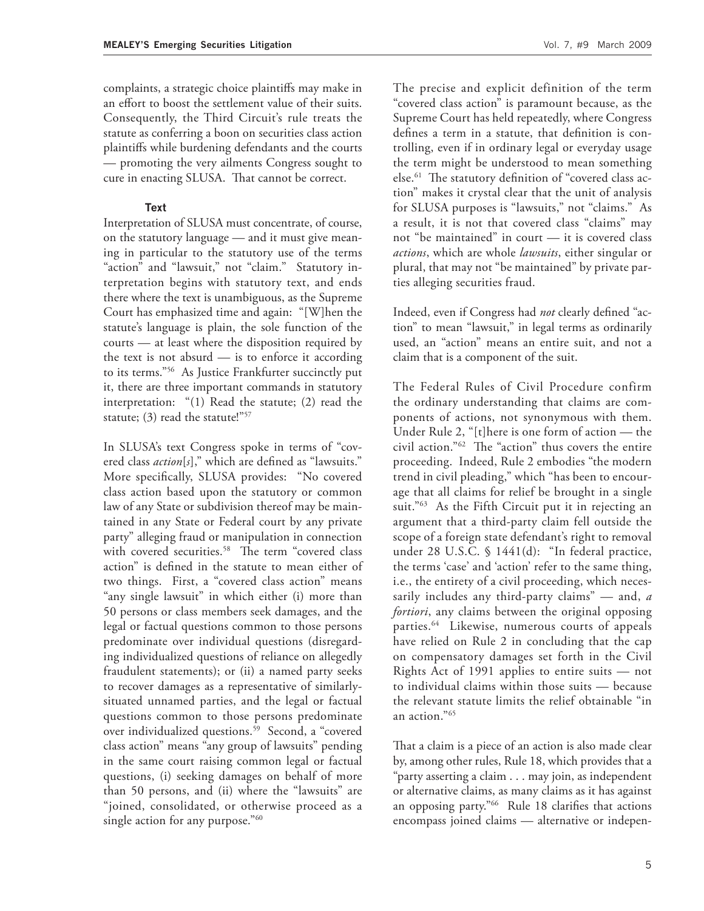complaints, a strategic choice plaintiffs may make in an effort to boost the settlement value of their suits. Consequently, the Third Circuit's rule treats the statute as conferring a boon on securities class action plaintiffs while burdening defendants and the courts — promoting the very ailments Congress sought to cure in enacting SLUSA. That cannot be correct.

#### **Text**

Interpretation of SLUSA must concentrate, of course, on the statutory language — and it must give meaning in particular to the statutory use of the terms "action" and "lawsuit," not "claim." Statutory interpretation begins with statutory text, and ends there where the text is unambiguous, as the Supreme Court has emphasized time and again: "[W]hen the statute's language is plain, the sole function of the courts — at least where the disposition required by the text is not absurd  $-$  is to enforce it according to its terms."56 As Justice Frankfurter succinctly put it, there are three important commands in statutory interpretation: "(1) Read the statute; (2) read the statute; (3) read the statute!"<sup>57</sup>

In SLUSA's text Congress spoke in terms of "covered class *action*[s]," which are defined as "lawsuits." More specifically, SLUSA provides: "No covered class action based upon the statutory or common law of any State or subdivision thereof may be maintained in any State or Federal court by any private party" alleging fraud or manipulation in connection with covered securities.<sup>58</sup> The term "covered class action" is defined in the statute to mean either of two things. First, a "covered class action" means "any single lawsuit" in which either (i) more than 50 persons or class members seek damages, and the legal or factual questions common to those persons predominate over individual questions (disregarding individualized questions of reliance on allegedly fraudulent statements); or (ii) a named party seeks to recover damages as a representative of similarlysituated unnamed parties, and the legal or factual questions common to those persons predominate over individualized questions.<sup>59</sup> Second, a "covered class action" means "any group of lawsuits" pending in the same court raising common legal or factual questions, (i) seeking damages on behalf of more than 50 persons, and (ii) where the "lawsuits" are "joined, consolidated, or otherwise proceed as a single action for any purpose."<sup>60</sup>

The precise and explicit definition of the term "covered class action" is paramount because, as the Supreme Court has held repeatedly, where Congress defines a term in a statute, that definition is controlling, even if in ordinary legal or everyday usage the term might be understood to mean something else.<sup>61</sup> The statutory definition of "covered class action" makes it crystal clear that the unit of analysis for SLUSA purposes is "lawsuits," not "claims." As a result, it is not that covered class "claims" may not "be maintained" in court — it is covered class *actions*, which are whole *lawsuits*, either singular or plural, that may not "be maintained" by private parties alleging securities fraud.

Indeed, even if Congress had *not* clearly defined "action" to mean "lawsuit," in legal terms as ordinarily used, an "action" means an entire suit, and not a claim that is a component of the suit.

The Federal Rules of Civil Procedure confirm the ordinary understanding that claims are components of actions, not synonymous with them. Under Rule 2, "[t]here is one form of action — the civil action." $62$  The "action" thus covers the entire proceeding. Indeed, Rule 2 embodies "the modern trend in civil pleading," which "has been to encourage that all claims for relief be brought in a single suit."<sup>63</sup> As the Fifth Circuit put it in rejecting an argument that a third-party claim fell outside the scope of a foreign state defendant's right to removal under 28 U.S.C. § 1441(d): "In federal practice, the terms 'case' and 'action' refer to the same thing, i.e., the entirety of a civil proceeding, which necessarily includes any third-party claims" — and, *a fortiori*, any claims between the original opposing parties.64 Likewise, numerous courts of appeals have relied on Rule 2 in concluding that the cap on compensatory damages set forth in the Civil Rights Act of 1991 applies to entire suits — not to individual claims within those suits — because the relevant statute limits the relief obtainable "in an action."65

That a claim is a piece of an action is also made clear by, among other rules, Rule 18, which provides that a "party asserting a claim . . . may join, as independent or alternative claims, as many claims as it has against an opposing party."<sup>66</sup> Rule 18 clarifies that actions encompass joined claims — alternative or indepen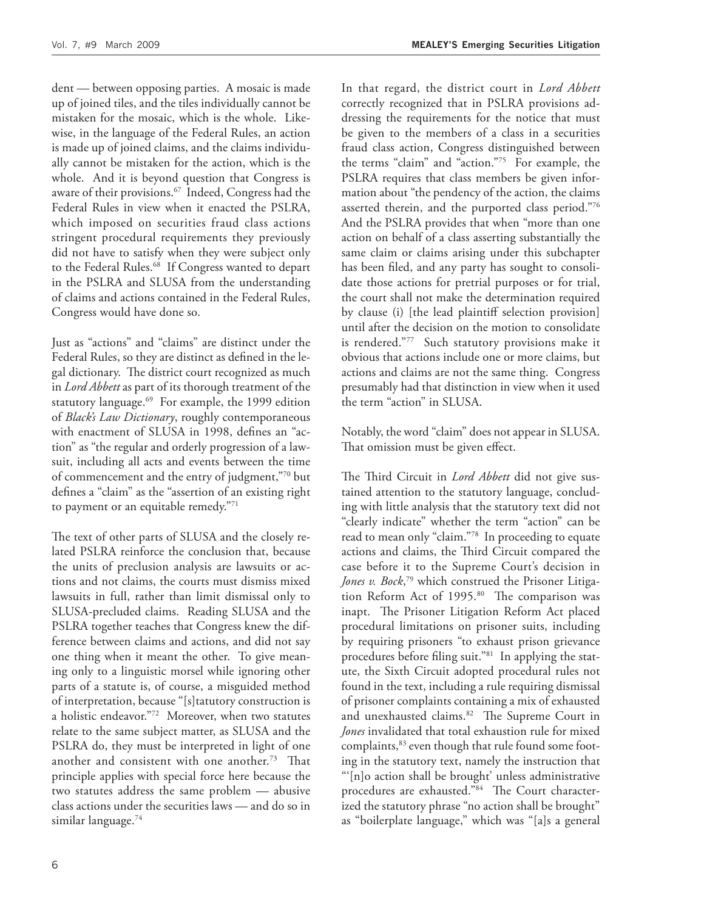dent — between opposing parties. A mosaic is made up of joined tiles, and the tiles individually cannot be mistaken for the mosaic, which is the whole. Likewise, in the language of the Federal Rules, an action is made up of joined claims, and the claims individually cannot be mistaken for the action, which is the whole. And it is beyond question that Congress is aware of their provisions.<sup>67</sup> Indeed, Congress had the Federal Rules in view when it enacted the PSLRA, which imposed on securities fraud class actions stringent procedural requirements they previously did not have to satisfy when they were subject only to the Federal Rules.<sup>68</sup> If Congress wanted to depart in the PSLRA and SLUSA from the understanding of claims and actions contained in the Federal Rules, Congress would have done so.

Just as "actions" and "claims" are distinct under the Federal Rules, so they are distinct as defined in the legal dictionary. The district court recognized as much in *Lord Abbett* as part of its thorough treatment of the statutory language. $69$  For example, the 1999 edition of *Black's Law Dictionary*, roughly contemporaneous with enactment of SLUSA in 1998, defines an "action" as "the regular and orderly progression of a lawsuit, including all acts and events between the time of commencement and the entry of judgment,"70 but defines a "claim" as the "assertion of an existing right to payment or an equitable remedy."71

The text of other parts of SLUSA and the closely related PSLRA reinforce the conclusion that, because the units of preclusion analysis are lawsuits or actions and not claims, the courts must dismiss mixed lawsuits in full, rather than limit dismissal only to SLUSA-precluded claims. Reading SLUSA and the PSLRA together teaches that Congress knew the difference between claims and actions, and did not say one thing when it meant the other. To give meaning only to a linguistic morsel while ignoring other parts of a statute is, of course, a misguided method of interpretation, because "[s]tatutory construction is a holistic endeavor."72 Moreover, when two statutes relate to the same subject matter, as SLUSA and the PSLRA do, they must be interpreted in light of one another and consistent with one another.<sup>73</sup> That principle applies with special force here because the two statutes address the same problem — abusive class actions under the securities laws — and do so in similar language.<sup>74</sup>

In that regard, the district court in *Lord Abbett* correctly recognized that in PSLRA provisions addressing the requirements for the notice that must be given to the members of a class in a securities fraud class action, Congress distinguished between the terms "claim" and "action."75 For example, the PSLRA requires that class members be given information about "the pendency of the action, the claims asserted therein, and the purported class period."76 And the PSLRA provides that when "more than one action on behalf of a class asserting substantially the same claim or claims arising under this subchapter has been filed, and any party has sought to consolidate those actions for pretrial purposes or for trial, the court shall not make the determination required by clause (i) [the lead plaintiff selection provision] until after the decision on the motion to consolidate is rendered."77 Such statutory provisions make it obvious that actions include one or more claims, but actions and claims are not the same thing. Congress presumably had that distinction in view when it used the term "action" in SLUSA.

Notably, the word "claim" does not appear in SLUSA. That omission must be given effect.

The Third Circuit in *Lord Abbett* did not give sustained attention to the statutory language, concluding with little analysis that the statutory text did not "clearly indicate" whether the term "action" can be read to mean only "claim."78 In proceeding to equate actions and claims, the Third Circuit compared the case before it to the Supreme Court's decision in *Jones v. Bock*, 79 which construed the Prisoner Litigation Reform Act of 1995.<sup>80</sup> The comparison was inapt. The Prisoner Litigation Reform Act placed procedural limitations on prisoner suits, including by requiring prisoners "to exhaust prison grievance procedures before filing suit."<sup>81</sup> In applying the statute, the Sixth Circuit adopted procedural rules not found in the text, including a rule requiring dismissal of prisoner complaints containing a mix of exhausted and unexhausted claims.<sup>82</sup> The Supreme Court in *Jones* invalidated that total exhaustion rule for mixed complaints,  $83$  even though that rule found some footing in the statutory text, namely the instruction that "'[n]o action shall be brought' unless administrative procedures are exhausted."84 The Court characterized the statutory phrase "no action shall be brought" as "boilerplate language," which was "[a]s a general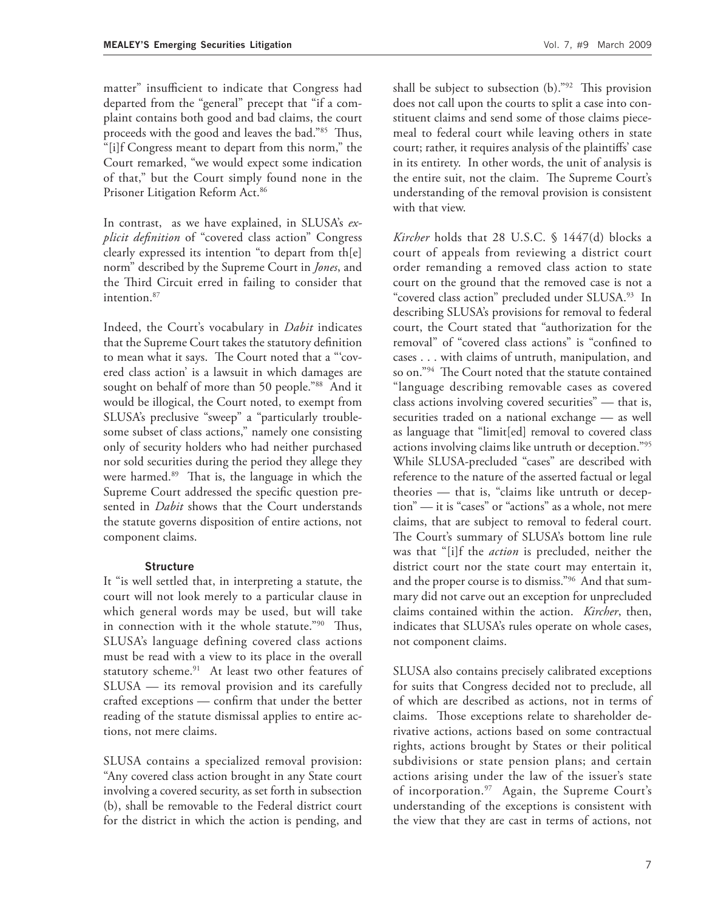matter" insufficient to indicate that Congress had departed from the "general" precept that "if a complaint contains both good and bad claims, the court proceeds with the good and leaves the bad."85 Thus, "[i]f Congress meant to depart from this norm," the Court remarked, "we would expect some indication of that," but the Court simply found none in the Prisoner Litigation Reform Act.<sup>86</sup>

In contrast, as we have explained, in SLUSA's *explicit definition* of "covered class action" Congress clearly expressed its intention "to depart from th[e] norm" described by the Supreme Court in *Jones*, and the Third Circuit erred in failing to consider that intention.<sup>87</sup>

Indeed, the Court's vocabulary in *Dabit* indicates that the Supreme Court takes the statutory definition to mean what it says. The Court noted that a "covered class action' is a lawsuit in which damages are sought on behalf of more than 50 people."88 And it would be illogical, the Court noted, to exempt from SLUSA's preclusive "sweep" a "particularly troublesome subset of class actions," namely one consisting only of security holders who had neither purchased nor sold securities during the period they allege they were harmed. $89$  That is, the language in which the Supreme Court addressed the specific question presented in *Dabit* shows that the Court understands the statute governs disposition of entire actions, not component claims.

## **Structure**

It "is well settled that, in interpreting a statute, the court will not look merely to a particular clause in which general words may be used, but will take in connection with it the whole statute."<sup>90</sup> Thus, SLUSA's language defining covered class actions must be read with a view to its place in the overall statutory scheme.<sup>91</sup> At least two other features of SLUSA — its removal provision and its carefully crafted exceptions - confirm that under the better reading of the statute dismissal applies to entire actions, not mere claims.

SLUSA contains a specialized removal provision: "Any covered class action brought in any State court involving a covered security, as set forth in subsection (b), shall be removable to the Federal district court for the district in which the action is pending, and shall be subject to subsection  $(b)$ ."<sup>92</sup> This provision does not call upon the courts to split a case into constituent claims and send some of those claims piecemeal to federal court while leaving others in state court; rather, it requires analysis of the plaintiffs' case in its entirety. In other words, the unit of analysis is the entire suit, not the claim. The Supreme Court's understanding of the removal provision is consistent with that view.

*Kircher* holds that 28 U.S.C. § 1447(d) blocks a court of appeals from reviewing a district court order remanding a removed class action to state court on the ground that the removed case is not a "covered class action" precluded under SLUSA.93 In describing SLUSA's provisions for removal to federal court, the Court stated that "authorization for the removal" of "covered class actions" is "confined to cases . . . with claims of untruth, manipulation, and so on."<sup>94</sup> The Court noted that the statute contained "language describing removable cases as covered class actions involving covered securities" — that is, securities traded on a national exchange — as well as language that "limit[ed] removal to covered class actions involving claims like untruth or deception."95 While SLUSA-precluded "cases" are described with reference to the nature of the asserted factual or legal theories — that is, "claims like untruth or deception" — it is "cases" or "actions" as a whole, not mere claims, that are subject to removal to federal court. The Court's summary of SLUSA's bottom line rule was that "[i]f the *action* is precluded, neither the district court nor the state court may entertain it, and the proper course is to dismiss."96 And that summary did not carve out an exception for unprecluded claims contained within the action. *Kircher*, then, indicates that SLUSA's rules operate on whole cases, not component claims.

SLUSA also contains precisely calibrated exceptions for suits that Congress decided not to preclude, all of which are described as actions, not in terms of claims. Those exceptions relate to shareholder derivative actions, actions based on some contractual rights, actions brought by States or their political subdivisions or state pension plans; and certain actions arising under the law of the issuer's state of incorporation.97 Again, the Supreme Court's understanding of the exceptions is consistent with the view that they are cast in terms of actions, not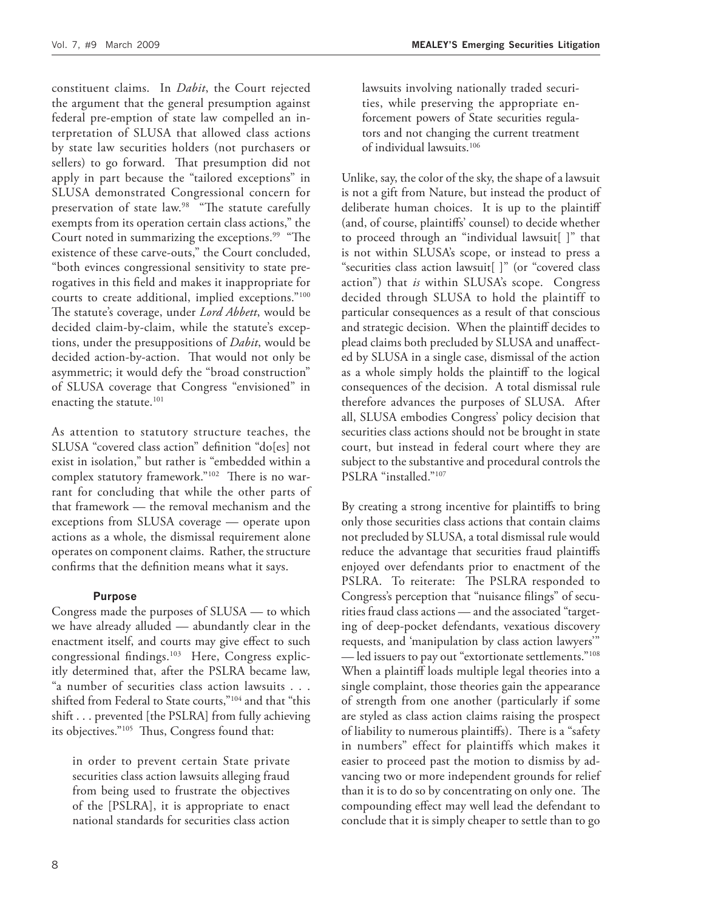constituent claims. In *Dabit*, the Court rejected the argument that the general presumption against federal pre-emption of state law compelled an interpretation of SLUSA that allowed class actions by state law securities holders (not purchasers or sellers) to go forward. That presumption did not apply in part because the "tailored exceptions" in SLUSA demonstrated Congressional concern for preservation of state law.<sup>98</sup> "The statute carefully exempts from its operation certain class actions," the Court noted in summarizing the exceptions.<sup>99</sup> "The existence of these carve-outs," the Court concluded, "both evinces congressional sensitivity to state prerogatives in this field and makes it inappropriate for courts to create additional, implied exceptions."100 The statute's coverage, under *Lord Abbett*, would be decided claim-by-claim, while the statute's exceptions, under the presuppositions of *Dabit*, would be decided action-by-action. That would not only be asymmetric; it would defy the "broad construction" of SLUSA coverage that Congress "envisioned" in enacting the statute.<sup>101</sup>

As attention to statutory structure teaches, the SLUSA "covered class action" definition "do[es] not exist in isolation," but rather is "embedded within a complex statutory framework."<sup>102</sup> There is no warrant for concluding that while the other parts of that framework — the removal mechanism and the exceptions from SLUSA coverage — operate upon actions as a whole, the dismissal requirement alone operates on component claims. Rather, the structure confirms that the definition means what it says.

## **Purpose**

Congress made the purposes of SLUSA — to which we have already alluded — abundantly clear in the enactment itself, and courts may give effect to such congressional findings.<sup>103</sup> Here, Congress explicitly determined that, after the PSLRA became law, "a number of securities class action lawsuits . . . shifted from Federal to State courts,"<sup>104</sup> and that "this shift . . . prevented [the PSLRA] from fully achieving its objectives."<sup>105</sup> Thus, Congress found that:

in order to prevent certain State private securities class action lawsuits alleging fraud from being used to frustrate the objectives of the [PSLRA], it is appropriate to enact national standards for securities class action

lawsuits involving nationally traded securities, while preserving the appropriate enforcement powers of State securities regulators and not changing the current treatment of individual lawsuits.106

Unlike, say, the color of the sky, the shape of a lawsuit is not a gift from Nature, but instead the product of deliberate human choices. It is up to the plaintiff (and, of course, plaintiffs' counsel) to decide whether to proceed through an "individual lawsuit[ ]" that is not within SLUSA's scope, or instead to press a "securities class action lawsuit[ ]" (or "covered class action") that *is* within SLUSA's scope. Congress decided through SLUSA to hold the plaintiff to particular consequences as a result of that conscious and strategic decision. When the plaintiff decides to plead claims both precluded by SLUSA and unaffected by SLUSA in a single case, dismissal of the action as a whole simply holds the plaintiff to the logical consequences of the decision. A total dismissal rule therefore advances the purposes of SLUSA. After all, SLUSA embodies Congress' policy decision that securities class actions should not be brought in state court, but instead in federal court where they are subject to the substantive and procedural controls the PSLRA "installed."107

By creating a strong incentive for plaintiffs to bring only those securities class actions that contain claims not precluded by SLUSA, a total dismissal rule would reduce the advantage that securities fraud plaintiffs enjoyed over defendants prior to enactment of the PSLRA. To reiterate: The PSLRA responded to Congress's perception that "nuisance filings" of securities fraud class actions — and the associated "targeting of deep-pocket defendants, vexatious discovery requests, and 'manipulation by class action lawyers'" — led issuers to pay out "extortionate settlements."108 When a plaintiff loads multiple legal theories into a single complaint, those theories gain the appearance of strength from one another (particularly if some are styled as class action claims raising the prospect of liability to numerous plaintiffs). There is a "safety in numbers" effect for plaintiffs which makes it easier to proceed past the motion to dismiss by advancing two or more independent grounds for relief than it is to do so by concentrating on only one. The compounding effect may well lead the defendant to conclude that it is simply cheaper to settle than to go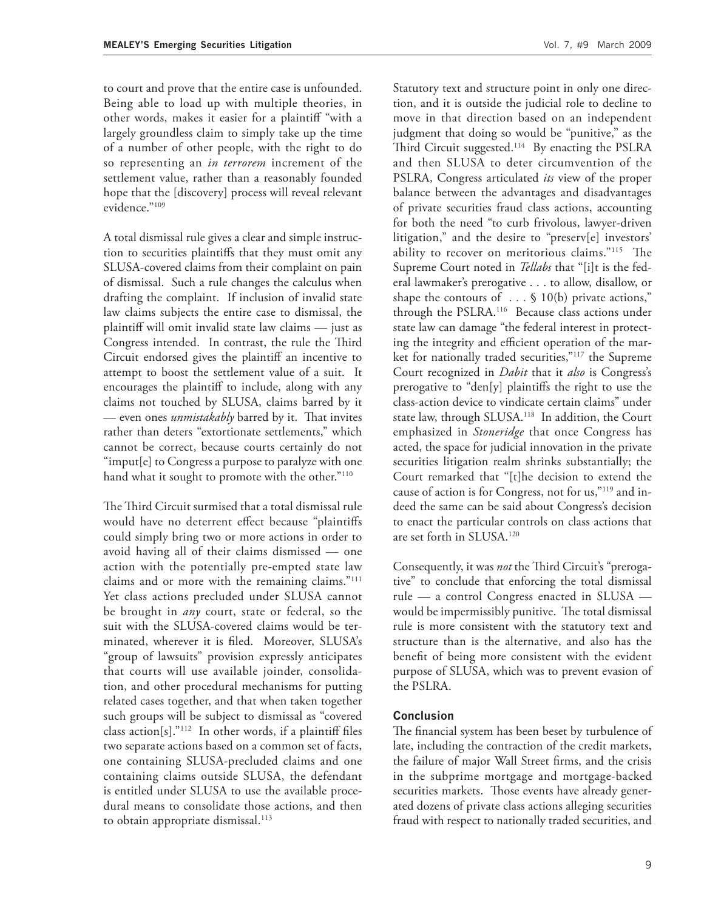to court and prove that the entire case is unfounded. Being able to load up with multiple theories, in other words, makes it easier for a plaintiff "with a largely groundless claim to simply take up the time of a number of other people, with the right to do so representing an *in terrorem* increment of the settlement value, rather than a reasonably founded hope that the [discovery] process will reveal relevant evidence."109

A total dismissal rule gives a clear and simple instruction to securities plaintiffs that they must omit any SLUSA-covered claims from their complaint on pain of dismissal. Such a rule changes the calculus when drafting the complaint. If inclusion of invalid state law claims subjects the entire case to dismissal, the plaintiff will omit invalid state law claims — just as Congress intended. In contrast, the rule the Third Circuit endorsed gives the plaintiff an incentive to attempt to boost the settlement value of a suit. It encourages the plaintiff to include, along with any claims not touched by SLUSA, claims barred by it — even ones *unmistakably* barred by it. That invites rather than deters "extortionate settlements," which cannot be correct, because courts certainly do not "imput[e] to Congress a purpose to paralyze with one hand what it sought to promote with the other."<sup>110</sup>

The Third Circuit surmised that a total dismissal rule would have no deterrent effect because "plaintiffs" could simply bring two or more actions in order to avoid having all of their claims dismissed — one action with the potentially pre-empted state law claims and or more with the remaining claims."111 Yet class actions precluded under SLUSA cannot be brought in *any* court, state or federal, so the suit with the SLUSA-covered claims would be terminated, wherever it is filed. Moreover, SLUSA's "group of lawsuits" provision expressly anticipates that courts will use available joinder, consolidation, and other procedural mechanisms for putting related cases together, and that when taken together such groups will be subject to dismissal as "covered class action[s]." $^{112}$  In other words, if a plaintiff files two separate actions based on a common set of facts, one containing SLUSA-precluded claims and one containing claims outside SLUSA, the defendant is entitled under SLUSA to use the available procedural means to consolidate those actions, and then to obtain appropriate dismissal.<sup>113</sup>

Statutory text and structure point in only one direction, and it is outside the judicial role to decline to move in that direction based on an independent judgment that doing so would be "punitive," as the Third Circuit suggested.<sup>114</sup> By enacting the PSLRA and then SLUSA to deter circumvention of the PSLRA, Congress articulated *its* view of the proper balance between the advantages and disadvantages of private securities fraud class actions, accounting for both the need "to curb frivolous, lawyer-driven litigation," and the desire to "preserv[e] investors' ability to recover on meritorious claims."<sup>115</sup> The Supreme Court noted in *Tellabs* that "[i]t is the federal lawmaker's prerogative . . . to allow, disallow, or shape the contours of  $\ldots$  § 10(b) private actions," through the PSLRA.<sup>116</sup> Because class actions under state law can damage "the federal interest in protecting the integrity and efficient operation of the market for nationally traded securities,"117 the Supreme Court recognized in *Dabit* that it *also* is Congress's prerogative to "den[y] plaintiffs the right to use the class-action device to vindicate certain claims" under state law, through SLUSA.<sup>118</sup> In addition, the Court emphasized in *Stoneridge* that once Congress has acted, the space for judicial innovation in the private securities litigation realm shrinks substantially; the Court remarked that "[t]he decision to extend the cause of action is for Congress, not for us,"119 and indeed the same can be said about Congress's decision to enact the particular controls on class actions that are set forth in SLUSA.120

Consequently, it was *not* the Third Circuit's "prerogative" to conclude that enforcing the total dismissal rule — a control Congress enacted in SLUSA would be impermissibly punitive. The total dismissal rule is more consistent with the statutory text and structure than is the alternative, and also has the benefit of being more consistent with the evident purpose of SLUSA, which was to prevent evasion of the PSLRA.

#### **Conclusion**

The financial system has been beset by turbulence of late, including the contraction of the credit markets, the failure of major Wall Street firms, and the crisis in the subprime mortgage and mortgage-backed securities markets. Those events have already generated dozens of private class actions alleging securities fraud with respect to nationally traded securities, and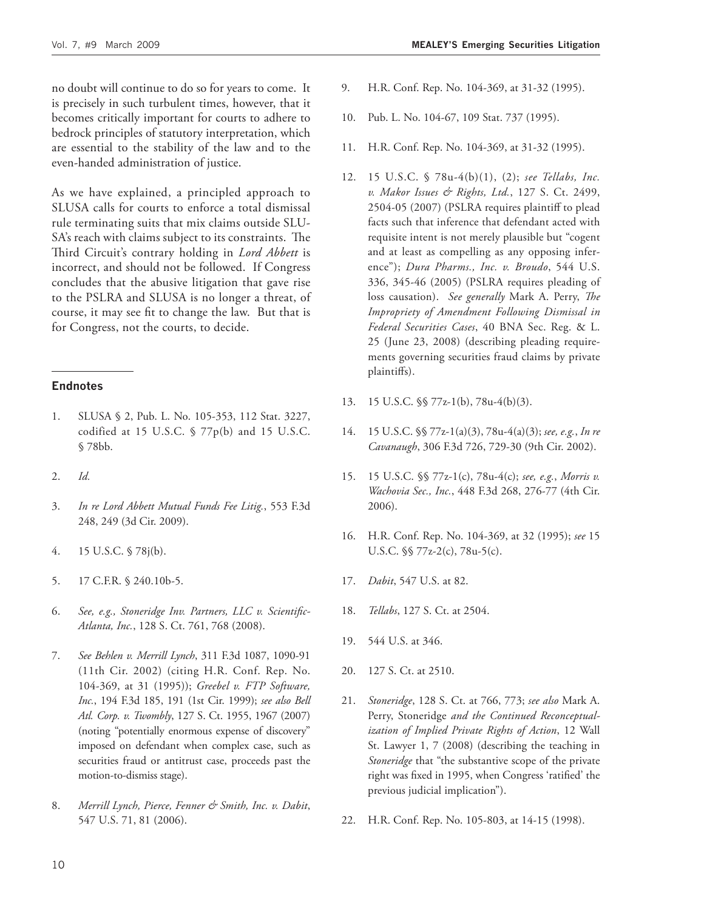no doubt will continue to do so for years to come. It is precisely in such turbulent times, however, that it becomes critically important for courts to adhere to bedrock principles of statutory interpretation, which are essential to the stability of the law and to the even-handed administration of justice.

As we have explained, a principled approach to SLUSA calls for courts to enforce a total dismissal rule terminating suits that mix claims outside SLU-SA's reach with claims subject to its constraints. The Third Circuit's contrary holding in *Lord Abbett* is incorrect, and should not be followed. If Congress concludes that the abusive litigation that gave rise to the PSLRA and SLUSA is no longer a threat, of course, it may see fit to change the law. But that is for Congress, not the courts, to decide.

#### **Endnotes**

- 1. SLUSA § 2, Pub. L. No. 105-353, 112 Stat. 3227, codified at 15 U.S.C. § 77p(b) and 15 U.S.C. § 78bb.
- 2. *Id.*
- 3. *In re Lord Abbett Mutual Funds Fee Litig.*, 553 F.3d 248, 249 (3d Cir. 2009).
- 4. 15 U.S.C. § 78j(b).
- 5. 17 C.F.R. § 240.10b-5.
- 6. *See, e.g., Stoneridge Inv. Partners, LLC v. Scientifi c-Atlanta, Inc.*, 128 S. Ct. 761, 768 (2008).
- 7. *See Behlen v. Merrill Lynch*, 311 F.3d 1087, 1090-91 (11th Cir. 2002) (citing H.R. Conf. Rep. No. 104-369, at 31 (1995)); *Greebel v. FTP Software, Inc.*, 194 F.3d 185, 191 (1st Cir. 1999); *see also Bell Atl. Corp. v. Twombly*, 127 S. Ct. 1955, 1967 (2007) (noting "potentially enormous expense of discovery" imposed on defendant when complex case, such as securities fraud or antitrust case, proceeds past the motion-to-dismiss stage).
- 8. *Merrill Lynch, Pierce, Fenner & Smith, Inc. v. Dabit*, 547 U.S. 71, 81 (2006).
- 9. H.R. Conf. Rep. No. 104-369, at 31-32 (1995).
- 10. Pub. L. No. 104-67, 109 Stat. 737 (1995).
- 11. H.R. Conf. Rep. No. 104-369, at 31-32 (1995).
- 12. 15 U.S.C. § 78u-4(b)(1), (2); *see Tellabs, Inc. v. Makor Issues & Rights, Ltd.*, 127 S. Ct. 2499, 2504-05 (2007) (PSLRA requires plaintiff to plead facts such that inference that defendant acted with requisite intent is not merely plausible but "cogent and at least as compelling as any opposing inference"); *Dura Pharms., Inc. v. Broudo*, 544 U.S. 336, 345-46 (2005) (PSLRA requires pleading of loss causation). See generally Mark A. Perry, The *Impropriety of Amendment Following Dismissal in Federal Securities Cases*, 40 BNA Sec. Reg. & L. 25 (June 23, 2008) (describing pleading requirements governing securities fraud claims by private plaintiffs).
- 13. 15 U.S.C. §§ 77z-1(b), 78u-4(b)(3).
- 14. 15 U.S.C. §§ 77z-1(a)(3), 78u-4(a)(3); *see, e.g.*, *In re Cavanaugh*, 306 F.3d 726, 729-30 (9th Cir. 2002).
- 15. 15 U.S.C. §§ 77z-1(c), 78u-4(c); *see, e.g.*, *Morris v. Wachovia Sec., Inc.*, 448 F.3d 268, 276-77 (4th Cir. 2006).
- 16. H.R. Conf. Rep. No. 104-369, at 32 (1995); *see* 15 U.S.C. §§ 77z-2(c), 78u-5(c).
- 17. *Dabit*, 547 U.S. at 82.
- 18. *Tellabs*, 127 S. Ct. at 2504.
- 19. 544 U.S. at 346.
- 20. 127 S. Ct. at 2510.
- 21. *Stoneridge*, 128 S. Ct. at 766, 773; *see also* Mark A. Perry, Stoneridge *and the Continued Reconceptualization of Implied Private Rights of Action*, 12 Wall St. Lawyer 1, 7 (2008) (describing the teaching in *Stoneridge* that "the substantive scope of the private right was fixed in 1995, when Congress 'ratified' the previous judicial implication").
- 22. H.R. Conf. Rep. No. 105-803, at 14-15 (1998).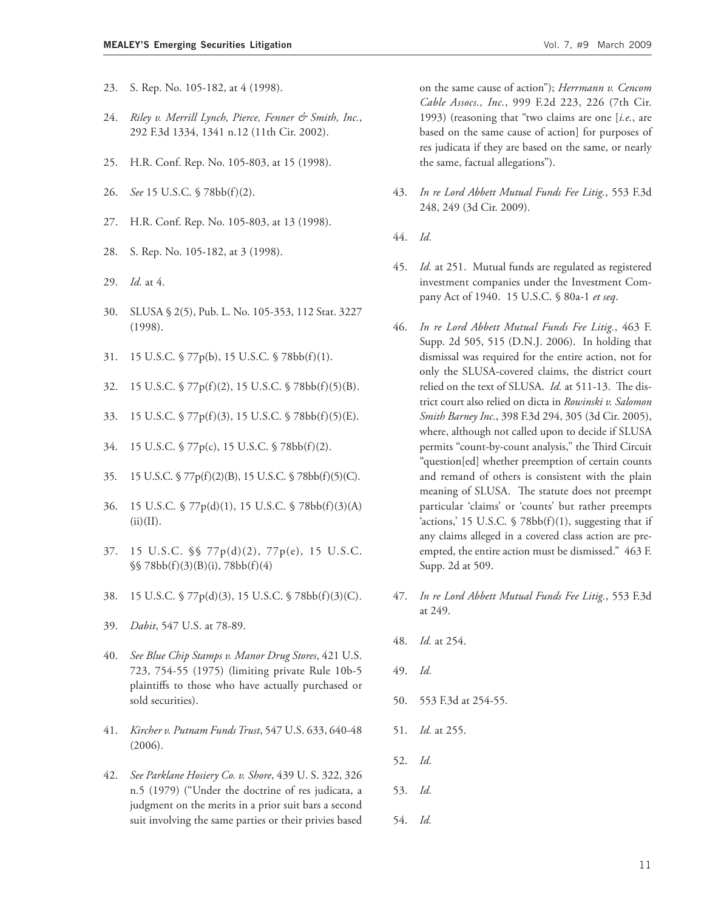- 23. S. Rep. No. 105-182, at 4 (1998).
- 24. *Riley v. Merrill Lynch, Pierce, Fenner & Smith, Inc.*, 292 F.3d 1334, 1341 n.12 (11th Cir. 2002).
- 25. H.R. Conf. Rep. No. 105-803, at 15 (1998).
- 26. *See* 15 U.S.C. § 78bb(f)(2).
- 27. H.R. Conf. Rep. No. 105-803, at 13 (1998).
- 28. S. Rep. No. 105-182, at 3 (1998).
- 29. *Id.* at 4.
- 30. SLUSA § 2(5), Pub. L. No. 105-353, 112 Stat. 3227 (1998).
- 31. 15 U.S.C. § 77p(b), 15 U.S.C. § 78bb(f)(1).
- 32. 15 U.S.C. § 77p(f)(2), 15 U.S.C. § 78bb(f)(5)(B).
- 33. 15 U.S.C. § 77p(f)(3), 15 U.S.C. § 78bb(f)(5)(E).
- 34. 15 U.S.C. § 77p(c), 15 U.S.C. § 78bb(f)(2).
- 35. 15 U.S.C. § 77p(f)(2)(B), 15 U.S.C. § 78bb(f)(5)(C).
- 36. 15 U.S.C. § 77p(d)(1), 15 U.S.C. § 78bb(f)(3)(A)  $(ii)(II).$
- 37. 15 U.S.C. §§ 77p(d)(2), 77p(e), 15 U.S.C. §§ 78bb(f)(3)(B)(i), 78bb(f)(4)
- 38. 15 U.S.C. § 77p(d)(3), 15 U.S.C. § 78bb(f)(3)(C).
- 39. *Dabit*, 547 U.S. at 78-89.
- 40. *See Blue Chip Stamps v. Manor Drug Stores*, 421 U.S. 723, 754-55 (1975) (limiting private Rule 10b-5 plaintiffs to those who have actually purchased or sold securities).
- 41. *Kircher v. Putnam Funds Trust*, 547 U.S. 633, 640-48 (2006).
- 42. *See Parklane Hosiery Co. v. Shore*, 439 U. S. 322, 326 n.5 (1979) ("Under the doctrine of res judicata, a judgment on the merits in a prior suit bars a second suit involving the same parties or their privies based

on the same cause of action"); *Herrmann v. Cencom Cable Assocs., Inc.*, 999 F.2d 223, 226 (7th Cir. 1993) (reasoning that "two claims are one [*i.e.*, are based on the same cause of action] for purposes of res judicata if they are based on the same, or nearly the same, factual allegations").

- 43. *In re Lord Abbett Mutual Funds Fee Litig.*, 553 F.3d 248, 249 (3d Cir. 2009).
- 44. *Id.*
- 45. *Id.* at 251. Mutual funds are regulated as registered investment companies under the Investment Company Act of 1940. 15 U.S.C. § 80a-1 *et seq*.
- 46. *In re Lord Abbett Mutual Funds Fee Litig.*, 463 F. Supp. 2d 505, 515 (D.N.J. 2006). In holding that dismissal was required for the entire action, not for only the SLUSA-covered claims, the district court relied on the text of SLUSA. *Id.* at 511-13. The district court also relied on dicta in *Rowinski v. Salomon Smith Barney Inc.*, 398 F.3d 294, 305 (3d Cir. 2005), where, although not called upon to decide if SLUSA permits "count-by-count analysis," the Third Circuit "question[ed] whether preemption of certain counts and remand of others is consistent with the plain meaning of SLUSA. The statute does not preempt particular 'claims' or 'counts' but rather preempts 'actions,' 15 U.S.C.  $\frac{5}{8}$  78bb(f)(1), suggesting that if any claims alleged in a covered class action are preempted, the entire action must be dismissed." 463 F. Supp. 2d at 509.
- 47. *In re Lord Abbett Mutual Funds Fee Litig.*, 553 F.3d at 249.
- 48. *Id.* at 254.
- 49. *Id.*
- 50. 553 F.3d at 254-55.
- 51. *Id.* at 255.
- 52. *Id.*
- 53. *Id.*
- 54. *Id.*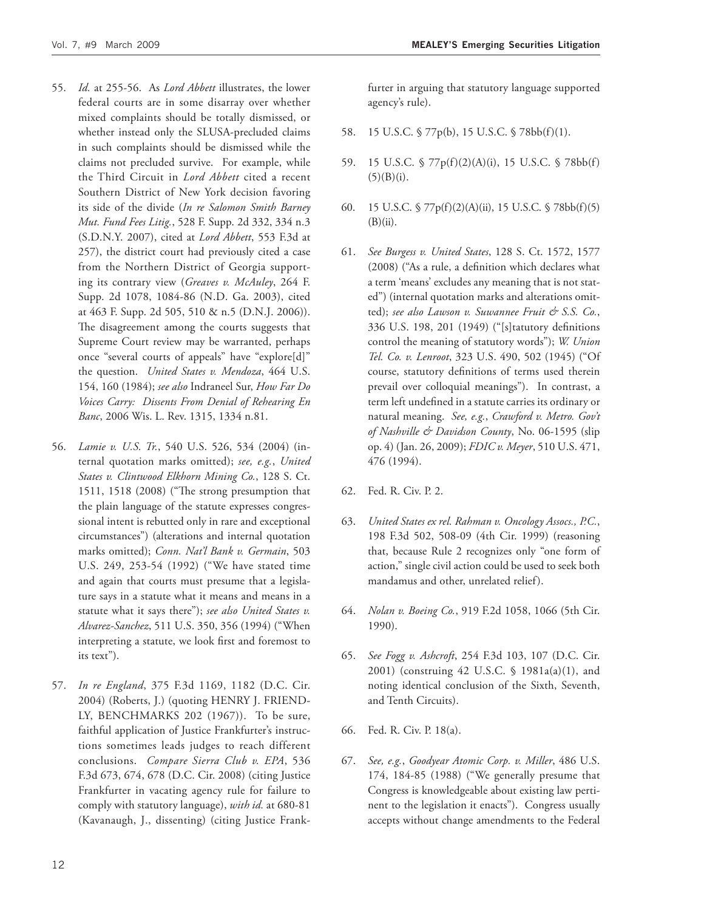- 55. *Id.* at 255-56. As *Lord Abbett* illustrates, the lower federal courts are in some disarray over whether mixed complaints should be totally dismissed, or whether instead only the SLUSA-precluded claims in such complaints should be dismissed while the claims not precluded survive. For example, while the Third Circuit in *Lord Abbett* cited a recent Southern District of New York decision favoring its side of the divide (*In re Salomon Smith Barney Mut. Fund Fees Litig.*, 528 F. Supp. 2d 332, 334 n.3 (S.D.N.Y. 2007), cited at *Lord Abbett*, 553 F.3d at 257), the district court had previously cited a case from the Northern District of Georgia supporting its contrary view (*Greaves v. McAuley*, 264 F. Supp. 2d 1078, 1084-86 (N.D. Ga. 2003), cited at 463 F. Supp. 2d 505, 510 & n.5 (D.N.J. 2006)). The disagreement among the courts suggests that Supreme Court review may be warranted, perhaps once "several courts of appeals" have "explore[d]" the question. *United States v. Mendoza*, 464 U.S. 154, 160 (1984); *see also* Indraneel Sur, *How Far Do Voices Carry: Dissents From Denial of Rehearing En Banc*, 2006 Wis. L. Rev. 1315, 1334 n.81.
- 56. *Lamie v. U.S. Tr.*, 540 U.S. 526, 534 (2004) (internal quotation marks omitted); *see, e.g.*, *United States v. Clintwood Elkhorn Mining Co.*, 128 S. Ct. 1511, 1518 (2008) ("The strong presumption that the plain language of the statute expresses congressional intent is rebutted only in rare and exceptional circumstances") (alterations and internal quotation marks omitted); *Conn. Nat'l Bank v. Germain*, 503 U.S. 249, 253-54 (1992) ("We have stated time and again that courts must presume that a legislature says in a statute what it means and means in a statute what it says there"); *see also United States v. Alvarez-Sanchez*, 511 U.S. 350, 356 (1994) ("When interpreting a statute, we look first and foremost to its text").
- 57. *In re England*, 375 F.3d 1169, 1182 (D.C. Cir. 2004) (Roberts, J.) (quoting HENRY J. FRIEND-LY, BENCHMARKS 202 (1967)). To be sure, faithful application of Justice Frankfurter's instructions sometimes leads judges to reach different conclusions. *Compare Sierra Club v. EPA*, 536 F.3d 673, 674, 678 (D.C. Cir. 2008) (citing Justice Frankfurter in vacating agency rule for failure to comply with statutory language), *with id.* at 680-81 (Kavanaugh, J., dissenting) (citing Justice Frank-

furter in arguing that statutory language supported agency's rule).

- 58. 15 U.S.C. § 77p(b), 15 U.S.C. § 78bb(f)(1).
- 59. 15 U.S.C. § 77p(f)(2)(A)(i), 15 U.S.C. § 78bb(f)  $(5)(B)(i).$
- 60. 15 U.S.C. § 77p(f)(2)(A)(ii), 15 U.S.C. § 78bb(f)(5)  $(B)(ii)$ .
- 61. *See Burgess v. United States*, 128 S. Ct. 1572, 1577 (2008) ("As a rule, a definition which declares what a term 'means' excludes any meaning that is not stated") (internal quotation marks and alterations omitted); *see also Lawson v. Suwannee Fruit & S.S. Co.*, 336 U.S. 198, 201 (1949) ("[s]tatutory definitions control the meaning of statutory words"); *W. Union Tel. Co. v. Lenroot*, 323 U.S. 490, 502 (1945) ("Of course, statutory definitions of terms used therein prevail over colloquial meanings"). In contrast, a term left undefined in a statute carries its ordinary or natural meaning. *See, e.g.*, *Crawford v. Metro. Gov't of Nashville & Davidson County*, No. 06-1595 (slip op. 4) (Jan. 26, 2009); *FDIC v. Meyer*, 510 U.S. 471, 476 (1994).
- 62. Fed. R. Civ. P. 2.
- 63. *United States ex rel. Rahman v. Oncology Assocs., P.C.*, 198 F.3d 502, 508-09 (4th Cir. 1999) (reasoning that, because Rule 2 recognizes only "one form of action," single civil action could be used to seek both mandamus and other, unrelated relief).
- 64. *Nolan v. Boeing Co.*, 919 F.2d 1058, 1066 (5th Cir. 1990).
- 65. *See Fogg v. Ashcroft*, 254 F.3d 103, 107 (D.C. Cir. 2001) (construing 42 U.S.C. § 1981a(a)(1), and noting identical conclusion of the Sixth, Seventh, and Tenth Circuits).
- 66. Fed. R. Civ. P. 18(a).
- 67. *See, e.g.*, *Goodyear Atomic Corp. v. Miller*, 486 U.S. 174, 184-85 (1988) ("We generally presume that Congress is knowledgeable about existing law pertinent to the legislation it enacts"). Congress usually accepts without change amendments to the Federal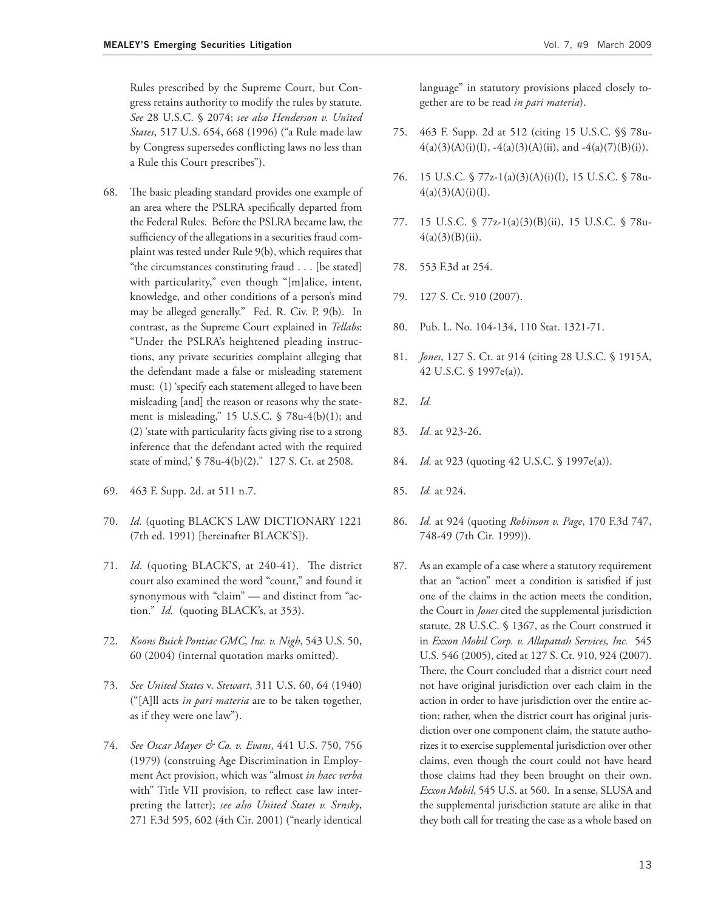Rules prescribed by the Supreme Court, but Congress retains authority to modify the rules by statute. *See* 28 U.S.C. § 2074; *see also Henderson v. United States*, 517 U.S. 654, 668 (1996) ("a Rule made law by Congress supersedes conflicting laws no less than a Rule this Court prescribes").

- 68. The basic pleading standard provides one example of an area where the PSLRA specifically departed from the Federal Rules. Before the PSLRA became law, the sufficiency of the allegations in a securities fraud complaint was tested under Rule 9(b), which requires that "the circumstances constituting fraud . . . [be stated] with particularity," even though "[m]alice, intent, knowledge, and other conditions of a person's mind may be alleged generally." Fed. R. Civ. P. 9(b). In contrast, as the Supreme Court explained in *Tellabs*: "Under the PSLRA's heightened pleading instructions, any private securities complaint alleging that the defendant made a false or misleading statement must: (1) 'specify each statement alleged to have been misleading [and] the reason or reasons why the statement is misleading," 15 U.S.C. § 78u-4(b)(1); and (2) 'state with particularity facts giving rise to a strong inference that the defendant acted with the required state of mind,' § 78u-4(b)(2)." 127 S. Ct. at 2508.
- 69. 463 F. Supp. 2d. at 511 n.7.
- 70. *Id.* (quoting BLACK'S LAW DICTIONARY 1221 (7th ed. 1991) [hereinafter BLACK'S]).
- 71. *Id.* (quoting BLACK'S, at 240-41). The district court also examined the word "count," and found it synonymous with "claim" — and distinct from "action." *Id.* (quoting BLACK's, at 353).
- 72. *Koons Buick Pontiac GMC, Inc. v. Nigh*, 543 U.S. 50, 60 (2004) (internal quotation marks omitted).
- 73. *See United States* v. *Stewart*, 311 U.S. 60, 64 (1940) ("[A]ll acts *in pari materia* are to be taken together, as if they were one law").
- 74. *See Oscar Mayer & Co. v. Evans*, 441 U.S. 750, 756 (1979) (construing Age Discrimination in Employment Act provision, which was "almost *in haec verba* with" Title VII provision, to reflect case law interpreting the latter); *see also United States v. Srnsky*, 271 F.3d 595, 602 (4th Cir. 2001) ("nearly identical

language" in statutory provisions placed closely together are to be read *in pari materia*).

- 75. 463 F. Supp. 2d at 512 (citing 15 U.S.C. §§ 78u- $4(a)(3)(A)(i)(I), -4(a)(3)(A)(ii),$  and  $-4(a)(7)(B)(i).$
- 76. 15 U.S.C. § 77z-1(a)(3)(A)(i)(I), 15 U.S.C. § 78u- $4(a)(3)(A)(i)(I).$
- 77. 15 U.S.C. § 77z-1(a)(3)(B)(ii), 15 U.S.C. § 78u- $4(a)(3)(B)(ii)$ .
- 78. 553 F.3d at 254.
- 79. 127 S. Ct. 910 (2007).
- 80. Pub. L. No. 104-134, 110 Stat. 1321-71.
- 81. *Jones*, 127 S. Ct. at 914 (citing 28 U.S.C. § 1915A, 42 U.S.C. § 1997e(a)).
- 82. *Id.*
- 83. *Id.* at 923-26.
- 84. *Id.* at 923 (quoting 42 U.S.C. § 1997e(a)).
- 85. *Id.* at 924.
- 86. *Id.* at 924 (quoting *Robinson v. Page*, 170 F.3d 747, 748-49 (7th Cir. 1999)).
- 87. As an example of a case where a statutory requirement that an "action" meet a condition is satisfied if just one of the claims in the action meets the condition, the Court in *Jones* cited the supplemental jurisdiction statute, 28 U.S.C. § 1367, as the Court construed it in *Exxon Mobil Corp. v. Allapattah Services, Inc.* 545 U.S. 546 (2005), cited at 127 S. Ct. 910, 924 (2007). There, the Court concluded that a district court need not have original jurisdiction over each claim in the action in order to have jurisdiction over the entire action; rather, when the district court has original jurisdiction over one component claim, the statute authorizes it to exercise supplemental jurisdiction over other claims, even though the court could not have heard those claims had they been brought on their own. *Exxon Mobil*, 545 U.S. at 560. In a sense, SLUSA and the supplemental jurisdiction statute are alike in that they both call for treating the case as a whole based on